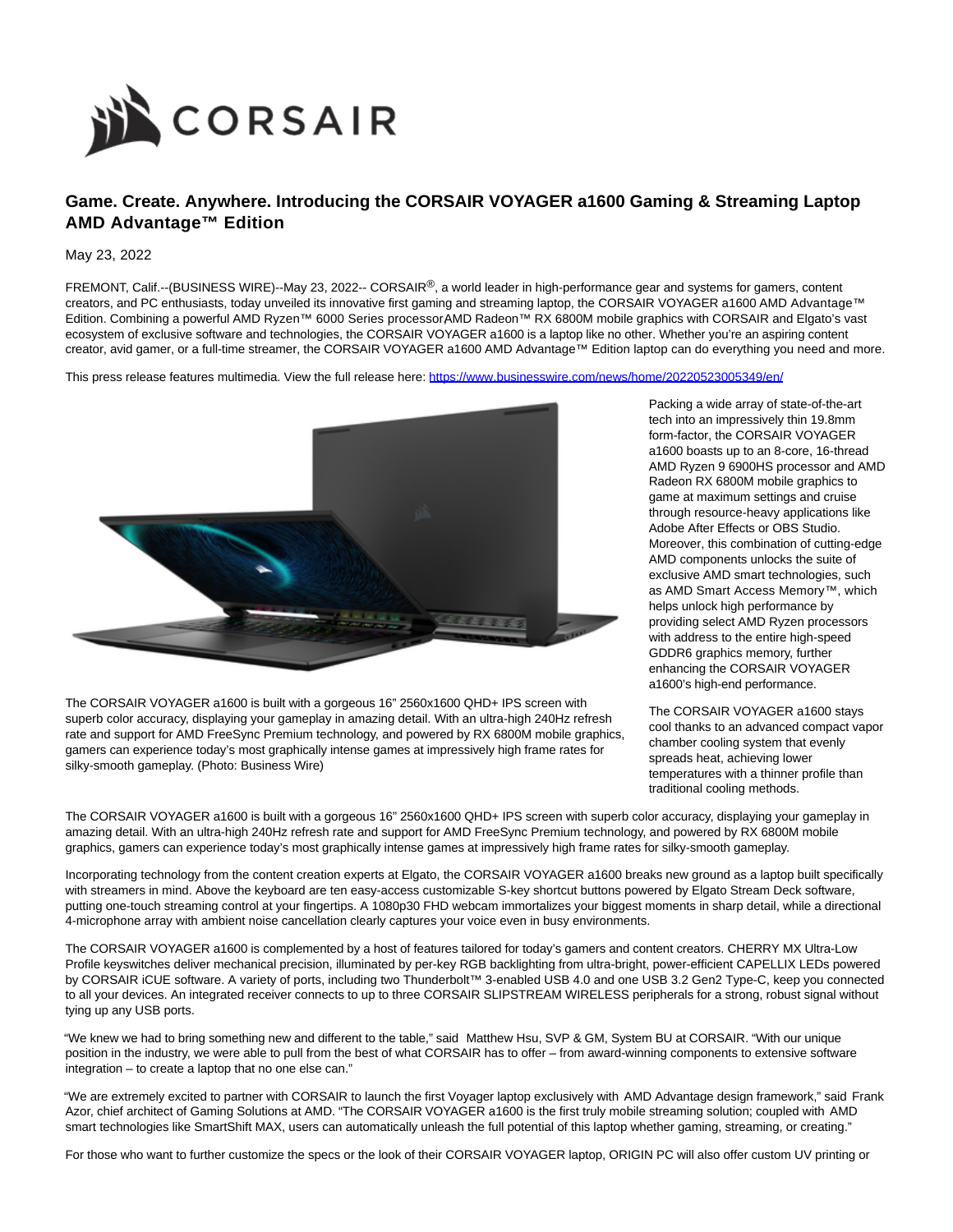

# **Game. Create. Anywhere. Introducing the CORSAIR VOYAGER a1600 Gaming & Streaming Laptop AMD Advantage™ Edition**

## May 23, 2022

FREMONT, Calif.--(BUSINESS WIRE)--May 23, 2022-- CORSAIR<sup>®</sup>, a world leader in high-performance gear and systems for gamers, content creators, and PC enthusiasts, today unveiled its innovative first gaming and streaming laptop, the CORSAIR VOYAGER a1600 AMD Advantage™ Edition. Combining a powerful AMD Ryzen™ 6000 Series processor, AMD Radeon™ RX 6800M mobile graphics with CORSAIR and Elgato's vast ecosystem of exclusive software and technologies, the CORSAIR VOYAGER a1600 is a laptop like no other. Whether you're an aspiring content creator, avid gamer, or a full-time streamer, the CORSAIR VOYAGER a1600 AMD Advantage™ Edition laptop can do everything you need and more.

This press release features multimedia. View the full release here:<https://www.businesswire.com/news/home/20220523005349/en/>



The CORSAIR VOYAGER a1600 is built with a gorgeous 16" 2560x1600 QHD+ IPS screen with superb color accuracy, displaying your gameplay in amazing detail. With an ultra-high 240Hz refresh rate and support for AMD FreeSync Premium technology, and powered by RX 6800M mobile graphics, gamers can experience today's most graphically intense games at impressively high frame rates for silky-smooth gameplay. (Photo: Business Wire)

Packing a wide array of state-of-the-art tech into an impressively thin 19.8mm form-factor, the CORSAIR VOYAGER a1600 boasts up to an 8-core, 16-thread AMD Ryzen 9 6900HS processor and AMD Radeon RX 6800M mobile graphics to game at maximum settings and cruise through resource-heavy applications like Adobe After Effects or OBS Studio. Moreover, this combination of cutting-edge AMD components unlocks the suite of exclusive AMD smart technologies, such as AMD Smart Access Memory™, which helps unlock high performance by providing select AMD Ryzen processors with address to the entire high-speed GDDR6 graphics memory, further enhancing the CORSAIR VOYAGER a1600's high-end performance.

The CORSAIR VOYAGER a1600 stays cool thanks to an advanced compact vapor chamber cooling system that evenly spreads heat, achieving lower temperatures with a thinner profile than traditional cooling methods.

The CORSAIR VOYAGER a1600 is built with a gorgeous 16" 2560x1600 QHD+ IPS screen with superb color accuracy, displaying your gameplay in amazing detail. With an ultra-high 240Hz refresh rate and support for AMD FreeSync Premium technology, and powered by RX 6800M mobile graphics, gamers can experience today's most graphically intense games at impressively high frame rates for silky-smooth gameplay.

Incorporating technology from the content creation experts at Elgato, the CORSAIR VOYAGER a1600 breaks new ground as a laptop built specifically with streamers in mind. Above the keyboard are ten easy-access customizable S-key shortcut buttons powered by Elgato Stream Deck software, putting one-touch streaming control at your fingertips. A 1080p30 FHD webcam immortalizes your biggest moments in sharp detail, while a directional 4-microphone array with ambient noise cancellation clearly captures your voice even in busy environments.

The CORSAIR VOYAGER a1600 is complemented by a host of features tailored for today's gamers and content creators. CHERRY MX Ultra-Low Profile keyswitches deliver mechanical precision, illuminated by per-key RGB backlighting from ultra-bright, power-efficient CAPELLIX LEDs powered by CORSAIR iCUE software. A variety of ports, including two Thunderbolt™ 3-enabled USB 4.0 and one USB 3.2 Gen2 Type-C, keep you connected to all your devices. An integrated receiver connects to up to three CORSAIR SLIPSTREAM WIRELESS peripherals for a strong, robust signal without tying up any USB ports.

"We knew we had to bring something new and different to the table," said Matthew Hsu, SVP & GM, System BU at CORSAIR. "With our unique position in the industry, we were able to pull from the best of what CORSAIR has to offer – from award-winning components to extensive software integration – to create a laptop that no one else can."

"We are extremely excited to partner with CORSAIR to launch the first Voyager laptop exclusively with AMD Advantage design framework," said Frank Azor, chief architect of Gaming Solutions at AMD. "The CORSAIR VOYAGER a1600 is the first truly mobile streaming solution; coupled with AMD smart technologies like SmartShift MAX, users can automatically unleash the full potential of this laptop whether gaming, streaming, or creating."

For those who want to further customize the specs or the look of their CORSAIR VOYAGER laptop, ORIGIN PC will also offer custom UV printing or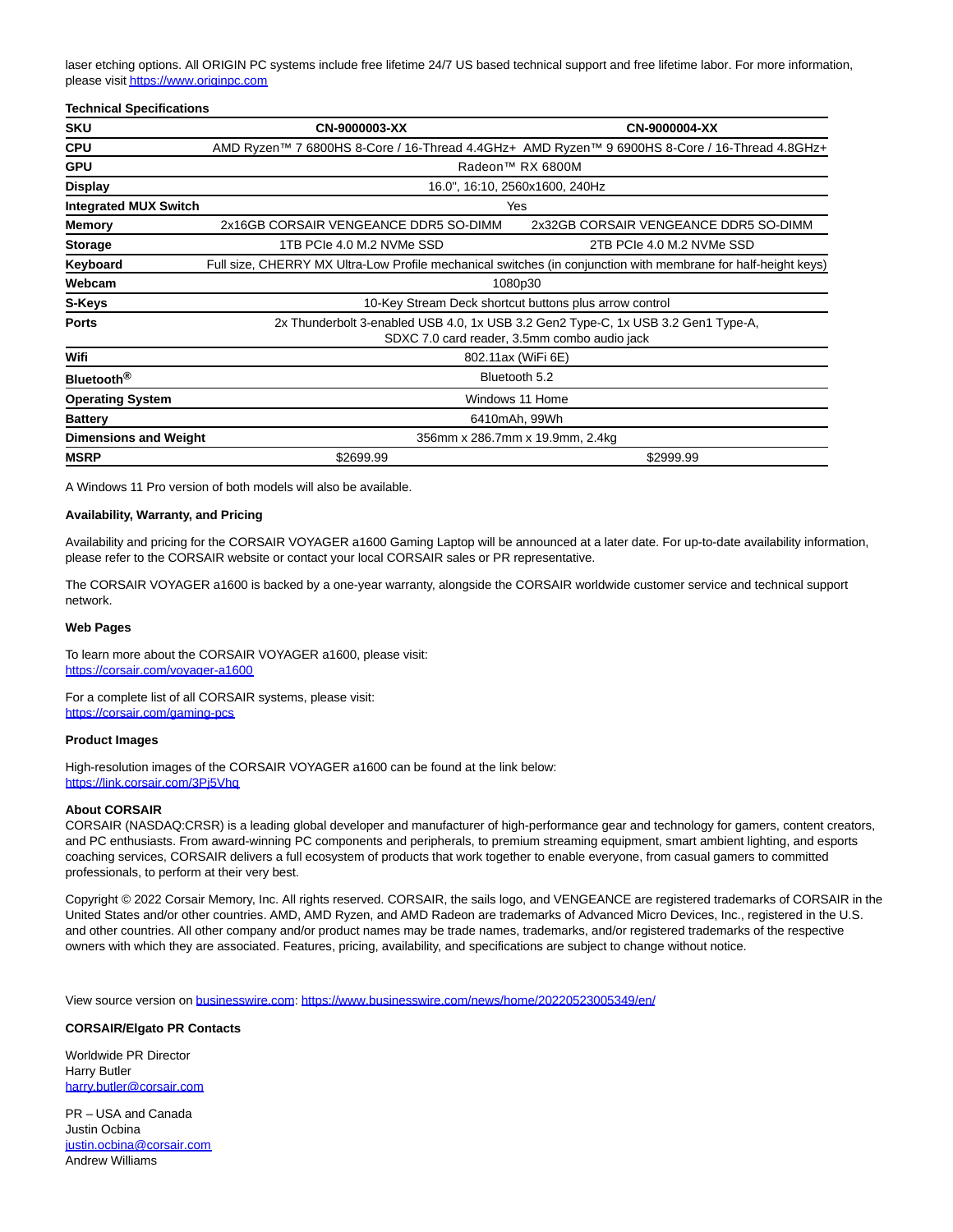laser etching options. All ORIGIN PC systems include free lifetime 24/7 US based technical support and free lifetime labor. For more information, please visi[t https://www.originpc.com](https://cts.businesswire.com/ct/CT?id=smartlink&url=https%3A%2F%2Fwww.originpc.com&esheet=52727251&newsitemid=20220523005349&lan=en-US&anchor=https%3A%2F%2Fwww.originpc.com&index=1&md5=8b837c77c41378903f98ae78533c16b5)

## **Technical Specifications**

| <b>SKU</b>                   | CN-9000003-XX                                                                                                                     | CN-9000004-XX                                                                                 |
|------------------------------|-----------------------------------------------------------------------------------------------------------------------------------|-----------------------------------------------------------------------------------------------|
| <b>CPU</b>                   |                                                                                                                                   | AMD Ryzen™ 7 6800HS 8-Core / 16-Thread 4.4GHz+ AMD Ryzen™ 9 6900HS 8-Core / 16-Thread 4.8GHz+ |
| <b>GPU</b>                   | Radeon <sup>™</sup> RX 6800M                                                                                                      |                                                                                               |
| <b>Display</b>               | 16.0", 16:10, 2560x1600, 240Hz                                                                                                    |                                                                                               |
| <b>Integrated MUX Switch</b> | Yes                                                                                                                               |                                                                                               |
| <b>Memory</b>                | 2x16GB CORSAIR VENGEANCE DDR5 SO-DIMM                                                                                             | 2x32GB CORSAIR VENGEANCE DDR5 SO-DIMM                                                         |
| <b>Storage</b>               | 1TB PCIe 4.0 M.2 NVMe SSD                                                                                                         | 2TB PCIe 4.0 M.2 NVMe SSD                                                                     |
| Keyboard                     | Full size, CHERRY MX Ultra-Low Profile mechanical switches (in conjunction with membrane for half-height keys)                    |                                                                                               |
| Webcam                       | 1080p30                                                                                                                           |                                                                                               |
| S-Keys                       | 10-Key Stream Deck shortcut buttons plus arrow control                                                                            |                                                                                               |
| <b>Ports</b>                 | 2x Thunderbolt 3-enabled USB 4.0, 1x USB 3.2 Gen2 Type-C, 1x USB 3.2 Gen1 Type-A,<br>SDXC 7.0 card reader, 3.5mm combo audio jack |                                                                                               |
| Wifi                         | 802.11ax (WiFi 6E)                                                                                                                |                                                                                               |
| Bluetooth <sup>®</sup>       | Bluetooth 5.2                                                                                                                     |                                                                                               |
| <b>Operating System</b>      | Windows 11 Home                                                                                                                   |                                                                                               |
| <b>Battery</b>               | 6410mAh, 99Wh                                                                                                                     |                                                                                               |
| <b>Dimensions and Weight</b> | 356mm x 286.7mm x 19.9mm, 2.4kg                                                                                                   |                                                                                               |
| <b>MSRP</b>                  | \$2699.99                                                                                                                         | \$2999.99                                                                                     |

A Windows 11 Pro version of both models will also be available.

## **Availability, Warranty, and Pricing**

Availability and pricing for the CORSAIR VOYAGER a1600 Gaming Laptop will be announced at a later date. For up-to-date availability information, please refer to the CORSAIR website or contact your local CORSAIR sales or PR representative.

The CORSAIR VOYAGER a1600 is backed by a one-year warranty, alongside the CORSAIR worldwide customer service and technical support network.

#### **Web Pages**

To learn more about the CORSAIR VOYAGER a1600, please visit: [https://corsair.com/voyager-a1600](https://cts.businesswire.com/ct/CT?id=smartlink&url=https%3A%2F%2Fcorsair.com%2Fvoyager-a1600&esheet=52727251&newsitemid=20220523005349&lan=en-US&anchor=https%3A%2F%2Fcorsair.com%2Fvoyager-a1600&index=2&md5=d97e73263ad8e8706fc9f9adbe4a12cb)

For a complete list of all CORSAIR systems, please visit: [https://corsair.com/gaming-pcs](https://cts.businesswire.com/ct/CT?id=smartlink&url=https%3A%2F%2Fcorsair.com%2Fgaming-pcs&esheet=52727251&newsitemid=20220523005349&lan=en-US&anchor=https%3A%2F%2Fcorsair.com%2Fgaming-pcs&index=3&md5=127e7a3cc3f4511c858515f0db0e3ce1)

### **Product Images**

High-resolution images of the CORSAIR VOYAGER a1600 can be found at the link below: https://link.corsair.com/3Pi5Vhq

#### **About CORSAIR**

CORSAIR (NASDAQ:CRSR) is a leading global developer and manufacturer of high-performance gear and technology for gamers, content creators, and PC enthusiasts. From award-winning PC components and peripherals, to premium streaming equipment, smart ambient lighting, and esports coaching services, CORSAIR delivers a full ecosystem of products that work together to enable everyone, from casual gamers to committed professionals, to perform at their very best.

Copyright © 2022 Corsair Memory, Inc. All rights reserved. CORSAIR, the sails logo, and VENGEANCE are registered trademarks of CORSAIR in the United States and/or other countries. AMD, AMD Ryzen, and AMD Radeon are trademarks of Advanced Micro Devices, Inc., registered in the U.S. and other countries. All other company and/or product names may be trade names, trademarks, and/or registered trademarks of the respective owners with which they are associated. Features, pricing, availability, and specifications are subject to change without notice.

View source version on [businesswire.com:](http://businesswire.com/)<https://www.businesswire.com/news/home/20220523005349/en/>

## **CORSAIR/Elgato PR Contacts**

Worldwide PR Director Harry Butler [harry.butler@corsair.com](mailto:harry.butler@corsair.com)

PR – USA and Canada Justin Ocbina [justin.ocbina@corsair.com](mailto:justin.ocbina@corsair.com) Andrew Williams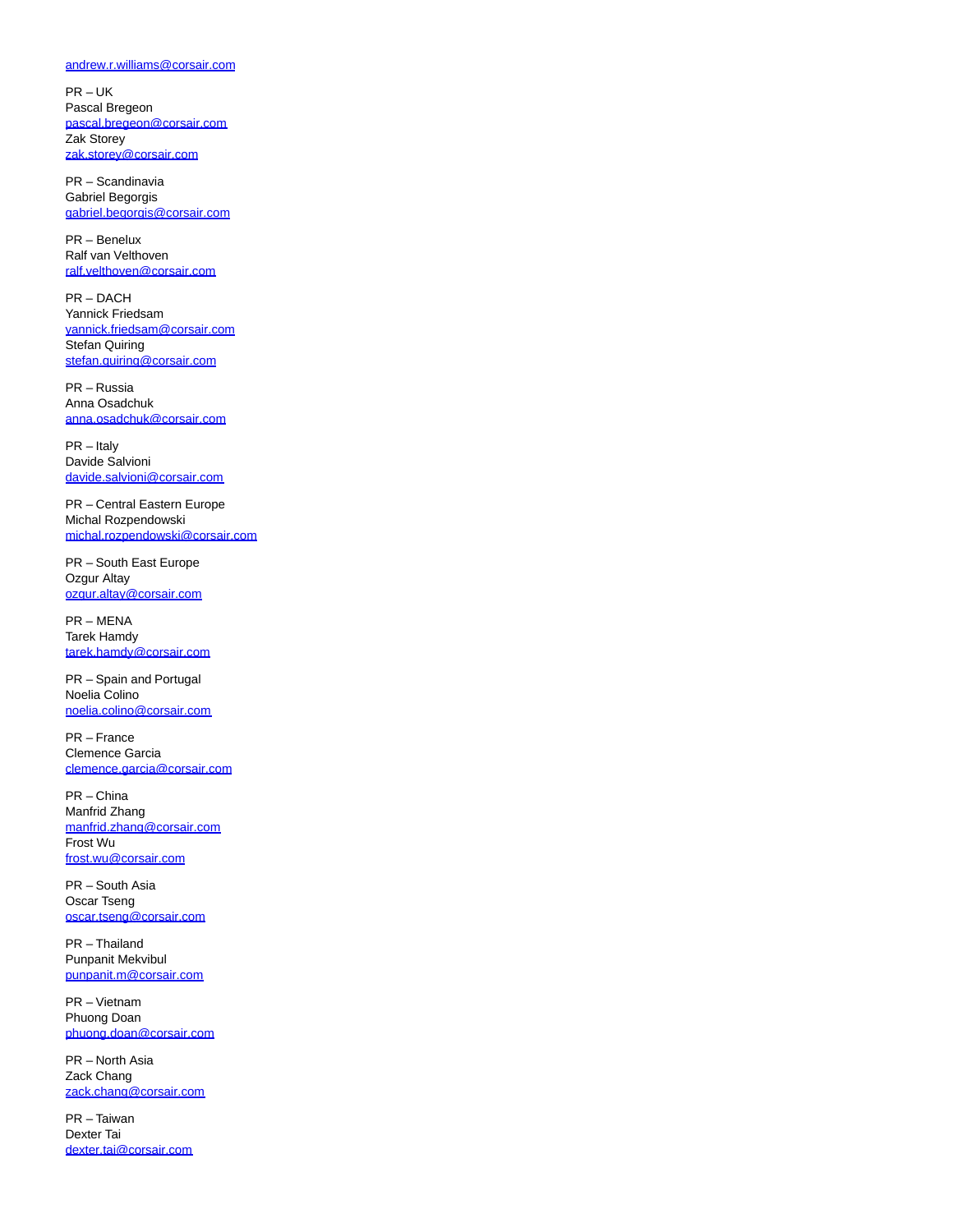## [andrew.r.williams@corsair.com](mailto:andrew.r.williams@corsair.com)

PR – UK Pascal Bregeon [pascal.bregeon@corsair.com](mailto:pascal.bregeon@corsair.com) Zak Storey [zak.storey@corsair.com](mailto:zak.storey@corsair.com)

PR – Scandinavia Gabriel Begorgis [gabriel.begorgis@corsair.com](mailto:gabriel.begorgis@corsair.com)

PR – Benelux Ralf van Velthoven [ralf.velthoven@corsair.com](mailto:ralf.velthoven@corsair.com)

PR – DACH Yannick Friedsam [yannick.friedsam@corsair.com](mailto:yannick.friedsam@corsair.com) Stefan Quiring [stefan.quiring@corsair.com](mailto:stefan.quiring@corsair.com)

PR – Russia Anna Osadchuk [anna.osadchuk@corsair.com](mailto:anna.osadchuk@corsair.com)

PR – Italy Davide Salvioni [davide.salvioni@corsair.com](mailto:davide.salvioni@corsair.com)

PR – Central Eastern Europe Michal Rozpendowski [michal.rozpendowski@corsair.com](mailto:michal.rozpendowski@corsair.com)

PR – South East Europe Ozgur Altay [ozgur.altay@corsair.com](mailto:ozgur.altay@corsair.com)

PR – MENA Tarek Hamdy [tarek.hamdy@corsair.com](mailto:tarek.hamdy@corsair.com)

PR – Spain and Portugal Noelia Colino [noelia.colino@corsair.com](mailto:noelia.colino@corsair.com)

PR – France Clemence Garcia [clemence.garcia@corsair.com](mailto:clemence.garcia@corsair.com)

PR – China Manfrid Zhang [manfrid.zhang@corsair.com](mailto:manfrid.zhang@corsair.com) Frost Wu [frost.wu@corsair.com](mailto:frost.wu@corsair.com)

PR – South Asia Oscar Tseng [oscar.tseng@corsair.com](mailto:oscar.tseng@corsair.com)

PR – Thailand Punpanit Mekvibul [punpanit.m@corsair.com](mailto:punpanit.m@corsair.com)

PR – Vietnam Phuong Doan [phuong.doan@corsair.com](mailto:phuong.doan@corsair.com)

PR – North Asia Zack Chang [zack.chang@corsair.com](mailto:zack.chang@corsair.com)

PR – Taiwan Dexter Tai [dexter.tai@corsair.com](mailto:dexter.tai@corsair.com)